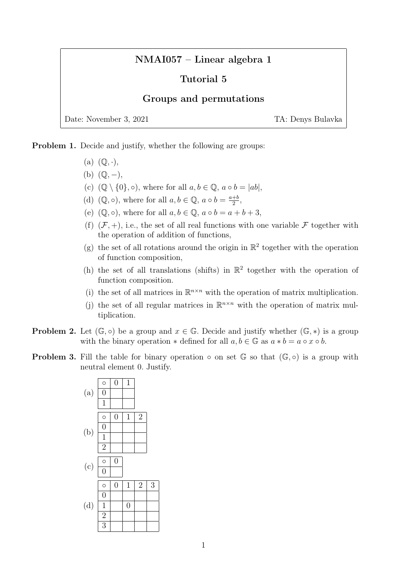## NMAI057 – Linear algebra 1

## Tutorial 5

## Groups and permutations

Date: November 3, 2021 TA: Denys Bulavka

Problem 1. Decide and justify, whether the following are groups:

- (a)  $(\mathbb{Q}, \cdot),$
- $(b)$   $(\mathbb{Q}, -),$
- (c)  $(\mathbb{Q} \setminus \{0\}, \circ)$ , where for all  $a, b \in \mathbb{Q}$ ,  $a \circ b = |ab|$ ,
- (d)  $(\mathbb{Q}, \circ)$ , where for all  $a, b \in \mathbb{Q}$ ,  $a \circ b = \frac{a+b}{2}$  $\frac{+b}{2}$ ,
- (e)  $(\mathbb{Q}, \circ)$ , where for all  $a, b \in \mathbb{Q}$ ,  $a \circ b = a + b + 3$ ,
- (f)  $(\mathcal{F}, +)$ , i.e., the set of all real functions with one variable  $\mathcal F$  together with the operation of addition of functions,
- (g) the set of all rotations around the origin in  $\mathbb{R}^2$  together with the operation of function composition,
- (h) the set of all translations (shifts) in  $\mathbb{R}^2$  together with the operation of function composition.
- (i) the set of all matrices in  $\mathbb{R}^{n \times n}$  with the operation of matrix multiplication.
- (j) the set of all regular matrices in  $\mathbb{R}^{n \times n}$  with the operation of matrix multiplication.
- **Problem 2.** Let  $(\mathbb{G}, \circ)$  be a group and  $x \in \mathbb{G}$ . Decide and justify whether  $(\mathbb{G}, *)$  is a group with the binary operation  $*$  defined for all  $a, b \in \mathbb{G}$  as  $a * b = a \circ x \circ b$ .
- **Problem 3.** Fill the table for binary operation  $\circ$  on set  $\mathbb{G}$  so that  $(\mathbb{G}, \circ)$  is a group with neutral element 0. Justify.